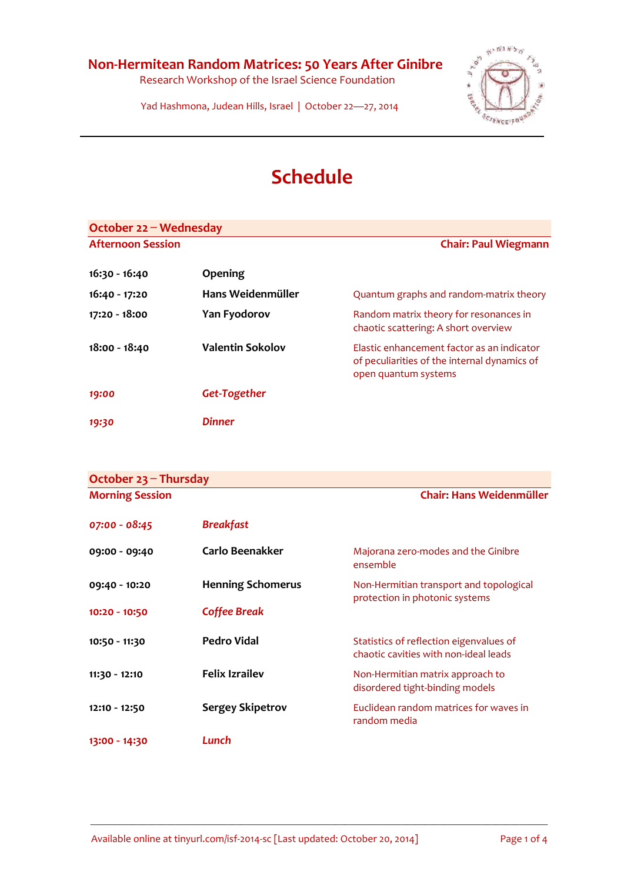Research Workshop of the Israel Science Foundation



Yad Hashmona, Judean Hills, Israel | October 22—27, 2014

## **Schedule**

| October $22 -$ Wednesday |                         |                                                                                                                    |
|--------------------------|-------------------------|--------------------------------------------------------------------------------------------------------------------|
| <b>Afternoon Session</b> |                         | <b>Chair: Paul Wiegmann</b>                                                                                        |
| 16:30 - 16:40            | Opening                 |                                                                                                                    |
| 16:40 - 17:20            | Hans Weidenmüller       | Quantum graphs and random-matrix theory                                                                            |
| 17:20 - 18:00            | Yan Fyodorov            | Random matrix theory for resonances in<br>chaotic scattering: A short overview                                     |
| 18:00 - 18:40            | <b>Valentin Sokolov</b> | Elastic enhancement factor as an indicator<br>of peculiarities of the internal dynamics of<br>open quantum systems |
| 19:00                    | Get-Together            |                                                                                                                    |
| 19:30                    | Dinner                  |                                                                                                                    |

| October $23$ – Thursday |                          |                                                                                  |
|-------------------------|--------------------------|----------------------------------------------------------------------------------|
| <b>Morning Session</b>  |                          | Chair: Hans Weidenmüller                                                         |
| 07:00 - 08:45           | <b>Breakfast</b>         |                                                                                  |
| 09:00 - 09:40           | Carlo Beenakker          | Majorana zero-modes and the Ginibre<br>ensemble                                  |
| 09:40 - 10:20           | <b>Henning Schomerus</b> | Non-Hermitian transport and topological                                          |
| 10:20 - 10:50           | <b>Coffee Break</b>      | protection in photonic systems                                                   |
| 10:50 - 11:30           | Pedro Vidal              | Statistics of reflection eigenvalues of<br>chaotic cavities with non-ideal leads |
| 11:30 - 12:10           | <b>Felix Izrailev</b>    | Non-Hermitian matrix approach to<br>disordered tight-binding models              |
| 12:10 - 12:50           | <b>Sergey Skipetrov</b>  | Euclidean random matrices for waves in<br>random media                           |
| 13:00 - 14:30           | Lunch                    |                                                                                  |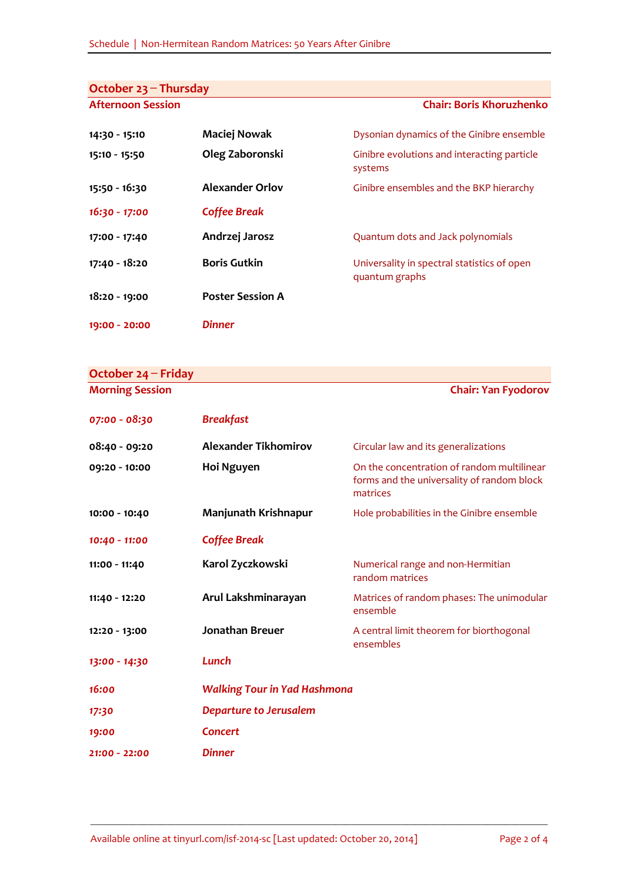| October $23$ – Thursday  |                         |                                                               |
|--------------------------|-------------------------|---------------------------------------------------------------|
| <b>Afternoon Session</b> |                         | <b>Chair: Boris Khoruzhenko</b>                               |
|                          |                         |                                                               |
| 14:30 - 15:10            | Maciej Nowak            | Dysonian dynamics of the Ginibre ensemble                     |
| 15:10 - 15:50            | Oleg Zaboronski         | Ginibre evolutions and interacting particle<br>systems        |
| 15:50 - 16:30            | <b>Alexander Orlov</b>  | Ginibre ensembles and the BKP hierarchy                       |
| $16:30 - 17:00$          | <b>Coffee Break</b>     |                                                               |
| 17:00 - 17:40            | Andrzej Jarosz          | Quantum dots and Jack polynomials                             |
| 17:40 - 18:20            | <b>Boris Gutkin</b>     | Universality in spectral statistics of open<br>quantum graphs |
| 18:20 - 19:00            | <b>Poster Session A</b> |                                                               |
| 19:00 - 20:00            | <b>Dinner</b>           |                                                               |

| October $24$ – Friday  |                                     |                                                                                                      |
|------------------------|-------------------------------------|------------------------------------------------------------------------------------------------------|
| <b>Morning Session</b> |                                     | <b>Chair: Yan Fyodorov</b>                                                                           |
| 07:00 - 08:30          | <b>Breakfast</b>                    |                                                                                                      |
| 08:40 - 09:20          | <b>Alexander Tikhomirov</b>         | Circular law and its generalizations                                                                 |
| 09:20 - 10:00          | Hoi Nguyen                          | On the concentration of random multilinear<br>forms and the universality of random block<br>matrices |
| 10:00 - 10:40          | Manjunath Krishnapur                | Hole probabilities in the Ginibre ensemble                                                           |
| 10:40 - 11:00          | <b>Coffee Break</b>                 |                                                                                                      |
| 11:00 - 11:40          | Karol Zyczkowski                    | Numerical range and non-Hermitian<br>random matrices                                                 |
| 11:40 - 12:20          | Arul Lakshminarayan                 | Matrices of random phases: The unimodular<br>ensemble                                                |
| 12:20 - 13:00          | <b>Jonathan Breuer</b>              | A central limit theorem for biorthogonal<br>ensembles                                                |
| 13:00 - 14:30          | Lunch                               |                                                                                                      |
| 16:00                  | <b>Walking Tour in Yad Hashmona</b> |                                                                                                      |
| 17:30                  | <b>Departure to Jerusalem</b>       |                                                                                                      |
| 19:00                  | Concert                             |                                                                                                      |
| 21:00 - 22:00          | <b>Dinner</b>                       |                                                                                                      |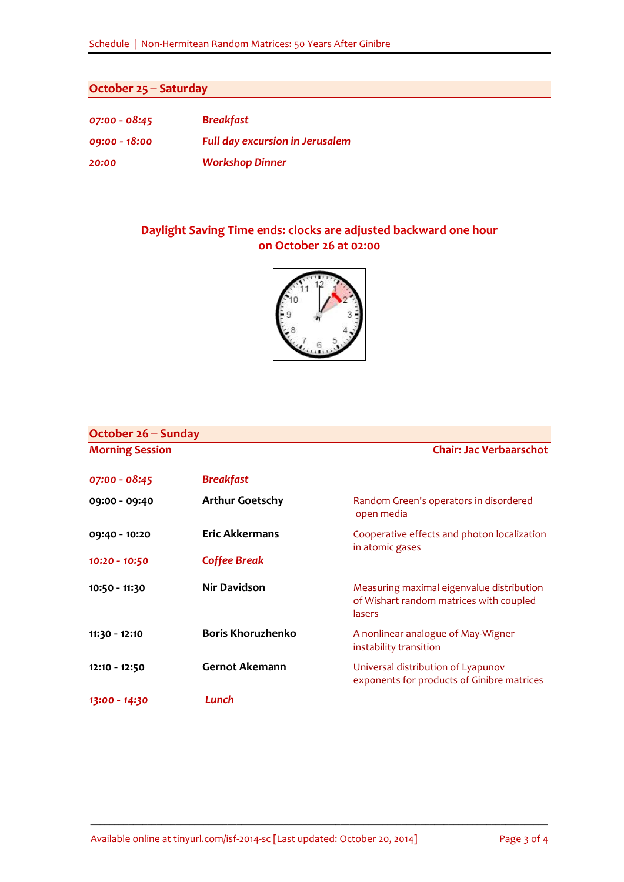## **October 25 ̶Saturday**

| $07:00 - 08:45$ | <b>Breakfast</b>                       |
|-----------------|----------------------------------------|
| $09:00 - 18:00$ | <b>Full day excursion in Jerusalem</b> |
| 20:00           | <b>Workshop Dinner</b>                 |

## **Daylight Saving Time ends: clocks are adjusted backward one hour on October 26 at 02:00**



| October 26 – Sunday    |                          |                                                                                                |
|------------------------|--------------------------|------------------------------------------------------------------------------------------------|
| <b>Morning Session</b> |                          | <b>Chair: Jac Verbaarschot</b>                                                                 |
| 07:00 - 08:45          | <b>Breakfast</b>         |                                                                                                |
| 09:00 - 09:40          | <b>Arthur Goetschy</b>   | Random Green's operators in disordered<br>open media                                           |
| 09:40 - 10:20          | <b>Eric Akkermans</b>    | Cooperative effects and photon localization<br>in atomic gases                                 |
| 10:20 - 10:50          | Coffee Break             |                                                                                                |
| 10:50 - 11:30          | <b>Nir Davidson</b>      | Measuring maximal eigenvalue distribution<br>of Wishart random matrices with coupled<br>lasers |
| 11:30 - 12:10          | <b>Boris Khoruzhenko</b> | A nonlinear analogue of May-Wigner<br>instability transition                                   |
| 12:10 - 12:50          | <b>Gernot Akemann</b>    | Universal distribution of Lyapunov<br>exponents for products of Ginibre matrices               |
| 13:00 - 14:30          | Lunch                    |                                                                                                |